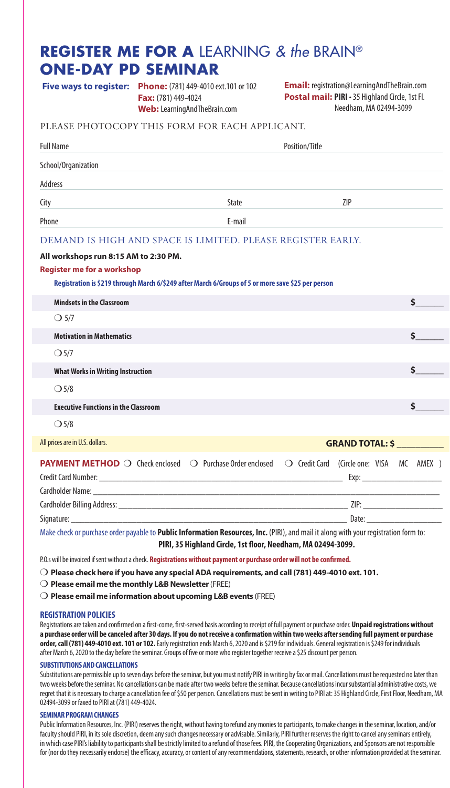# **REGISTER ME FOR A** LEARNING *& the* BRAIN® **ONE-DAY PD SEMINAR**

**Phone:** (781) 449-4010 ext.101 or 102 **Five ways to register: Email:** registration@LearningAndTheBrain.com **Fax:** (781) 449-4024

**Postal mail: PIRI** • 35 Highland Circle, 1st Fl. Needham, MA 02494-3099

### PLEASE PHOTOCOPY THIS FORM FOR EACH APPLICANT.

**Web:** LearningAndTheBrain.com

| <b>Full Name</b>                                                                                                                                                                 | Position/Title |                        |                                          |      |
|----------------------------------------------------------------------------------------------------------------------------------------------------------------------------------|----------------|------------------------|------------------------------------------|------|
| School/Organization                                                                                                                                                              |                |                        |                                          |      |
| <b>Address</b>                                                                                                                                                                   |                |                        |                                          |      |
| City                                                                                                                                                                             | State          |                        | ZIP                                      |      |
| Phone                                                                                                                                                                            | F-mail         |                        |                                          |      |
| DEMAND IS HIGH AND SPACE IS LIMITED. PLEASE REGISTER EARLY.                                                                                                                      |                |                        |                                          |      |
| All workshops run 8:15 AM to 2:30 PM.<br><b>Register me for a workshop</b><br>Registration is \$219 through March 6/\$249 after March 6/Groups of 5 or more save \$25 per person |                |                        |                                          |      |
| <b>Mindsets in the Classroom</b>                                                                                                                                                 |                |                        |                                          | Ś.   |
| $\bigcirc$ 5/7                                                                                                                                                                   |                |                        |                                          |      |
| <b>Motivation in Mathematics</b>                                                                                                                                                 |                |                        |                                          | \$   |
| O <sub>5/7</sub>                                                                                                                                                                 |                |                        |                                          |      |
| <b>What Works in Writing Instruction</b>                                                                                                                                         |                |                        |                                          | Ś.   |
| O <sub>5/8</sub>                                                                                                                                                                 |                |                        |                                          |      |
| <b>Executive Functions in the Classroom</b>                                                                                                                                      |                |                        |                                          | \$   |
| O <sub>5/8</sub>                                                                                                                                                                 |                |                        |                                          |      |
| All prices are in U.S. dollars.                                                                                                                                                  |                | <b>GRAND TOTAL: \$</b> |                                          |      |
| <b>PAYMENT METHOD</b> O Check enclosed O Purchase Order enclosed                                                                                                                 |                |                        | ○ Credit Card (Circle one: VISA MC AMEX) | Exp: |
|                                                                                                                                                                                  |                |                        |                                          |      |
| Signature:                                                                                                                                                                       |                |                        | Date:                                    |      |

Make check or purchase order payable to **Public Information Resources, Inc.** (PIRI), and mail it along with your registration form to: **PIRI, 35 Highland Circle, 1st floor, Needham, MA 02494-3099.** 

P.O.s will be invoiced if sent without a check. **Registrations without payment or purchase order will not be confirmed.**

m **Please check here if you have any special ADA requirements, and call (781) 449-4010 ext. 101.**

**O Please email me the monthly L&B Newsletter** (FREE)

m **Please email me information about upcoming L&B events** (FREE)

### **REGISTRATION POLICIES**

Registrations are taken and confirmed on a first-come, first-served basis according to receipt of full payment or purchase order. **Unpaid registrations without a purchase order will be canceled after 30 days. If you do not receive a confirmation within two weeks after sending full payment or purchase order, call (781) 449-4010 ext. 101 or 102.** Early registration ends March 6, 2020 and is \$219 for individuals. General registration is \$249 for individuals after March 6, 2020 to the day before the seminar. Groups of five or more who register together receive a \$25 discount per person.

### **SUBSTITUTIONS AND CANCELLATIONS**

Substitutions are permissible up to seven days before the seminar, but you must notify PIRI in writing by fax or mail. Cancellations must be requested no later than two weeks before the seminar. No cancellations can be made after two weeks before the seminar. Because cancellations incur substantial administrative costs, we regret that it is necessary to charge a cancellation fee of \$50 per person. Cancellations must be sent in writing to PIRI at: 35 Highland Circle, First Floor, Needham, MA 02494-3099 or faxed to PIRI at (781) 449-4024.

### **SEMINAR PROGRAM CHANGES**

Public Information Resources, Inc. (PIRI) reserves the right, without having to refund any monies to participants, to make changes in the seminar, location, and/or faculty should PIRI, in its sole discretion, deem any such changes necessary or advisable. Similarly, PIRI further reserves the right to cancel any seminars entirely, in which case PIRI's liability to participants shall be strictly limited to a refund of those fees. PIRI, the Cooperating Organizations, and Sponsors are not responsible for (nor do they necessarily endorse) the efficacy, accuracy, or content of any recommendations, statements, research, or other information provided at the seminar.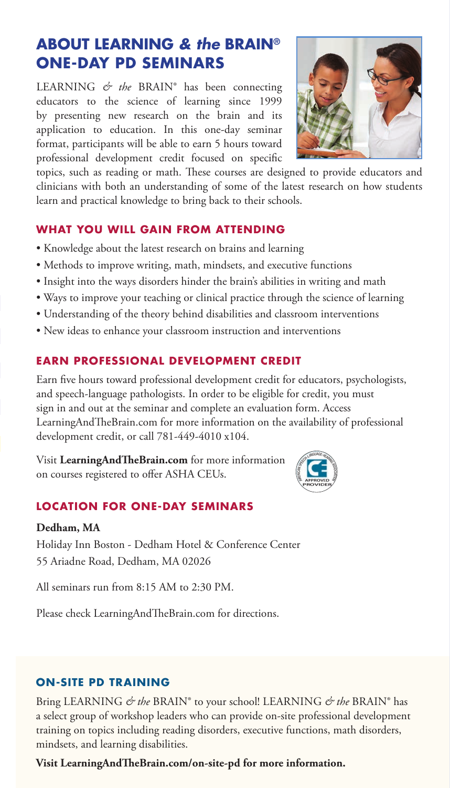# **ABOUT LEARNING** *& the* **BRAIN® ONE-DAY PD SEMINARS**

LEARNING *& the* BRAIN® has been connecting educators to the science of learning since 1999 by presenting new research on the brain and its application to education. In this one-day seminar format, participants will be able to earn 5 hours toward professional development credit focused on specific



topics, such as reading or math. These courses are designed to provide educators and clinicians with both an understanding of some of the latest research on how students learn and practical knowledge to bring back to their schools.

# **WHAT YOU WILL GAIN FROM ATTENDING**

- Knowledge about the latest research on brains and learning
- Methods to improve writing, math, mindsets, and executive functions
- Insight into the ways disorders hinder the brain's abilities in writing and math
- Ways to improve your teaching or clinical practice through the science of learning
- Understanding of the theory behind disabilities and classroom interventions
- New ideas to enhance your classroom instruction and interventions

# **EARN PROFESSIONAL DEVELOPMENT CREDIT**

Earn five hours toward professional development credit for educators, psychologists, and speech-language pathologists. In order to be eligible for credit, you must sign in and out at the seminar and complete an evaluation form. Access LearningAndTheBrain.com for more information on the availability of professional development credit, or call 781-449-4010 x104.

Visit **LearningAndTheBrain.com** for more information on courses registered to offer ASHA CEUs.



# **LOCATION FOR ONE-DAY SEMINARS**

# **Dedham, MA**

Holiday Inn Boston - Dedham Hotel & Conference Center 55 Ariadne Road, Dedham, MA 02026

All seminars run from 8:15 AM to 2:30 PM.

Please check LearningAndTheBrain.com for directions.

# **ON-SITE PD TRAINING**

Bring LEARNING *& the* BRAIN® to your school! LEARNING *& the* BRAIN® has a select group of workshop leaders who can provide on-site professional development training on topics including reading disorders, executive functions, math disorders, mindsets, and learning disabilities.

**Visit LearningAndTheBrain.com/on-site-pd for more information.**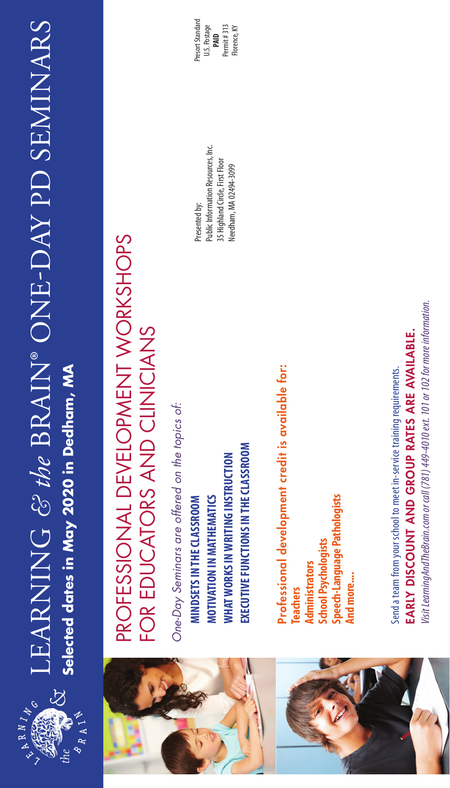

# LEARNING & the BRAIN® ONE-DAY PD SEMINARS LEARNING *& the* BRAIN® ONE-DAY PD SEMINARS LEARNING *& the* BRAIN® ONE-DAY SEMINARS Selected dates in May 2020 in Dedham, MA **Selected dates in May 2020 in Dedham, MA**





# PROFESSIONAL DEVELOPMENT WORKSHOPS PROFESSIONAL DEVELOPMENT WORKSHOPS FOR EDUCATORS AND CLINICIANS FOR EDUCATORS AND CLINICIANS

One-Day Seminars are offered on the topics of: *One-Day Seminars are offered on the topics of:*

EXECUTIVE FUNCTIONS IN THE CLASSROOM **EXECUTIVE FUNCTIONS IN THE CLASSROOM WHAT WORKS IN WRITING INSTRUCTION WHAT WORKS IN WRITING INSTRUCTION** MINDSETS IN THE CLASSROOM MOTIVATION IN MATHEMATICS **MOTIVATION IN MATHEMATICS MINDSETS IN THE CLASSROOM**

**Public Information Resources, Inc.** Public Information Resources, Inc. 35 Highland Circle, First Floor 35 Highland Circle, First Floor Needham, MA 02494-3099 Needham, MA 02494-3099 Presented by:

Presort Standard Presort Standard U.S. Postage  $Permit#313$ Permit # 313 Florence, KY **PAID**

> Professional development credit is available for: Professional development credit is available for: peech-Language Pathologists **Speech-Language Pathologists School Psychologists School Psychologists Administrators Administrators** Ind more.... **And more.... Teachers**

EARLY DISCOUNT AND GROUP RATES ARE AVAILABLE. EARLY DISCOUNT AND GROUP RATES ARE AVAILABLE. Send a team from your school to meet in-service training requirements. Send a team from your school to meet in-service training requirements.

lisit LearningAndTheBrain.com or call (781) 449-4010 ext. 101 or 102 for more information. *Visit LearningAndTheBrain.com or call (781) 449-4010 ext. 101 or 102 for more information.*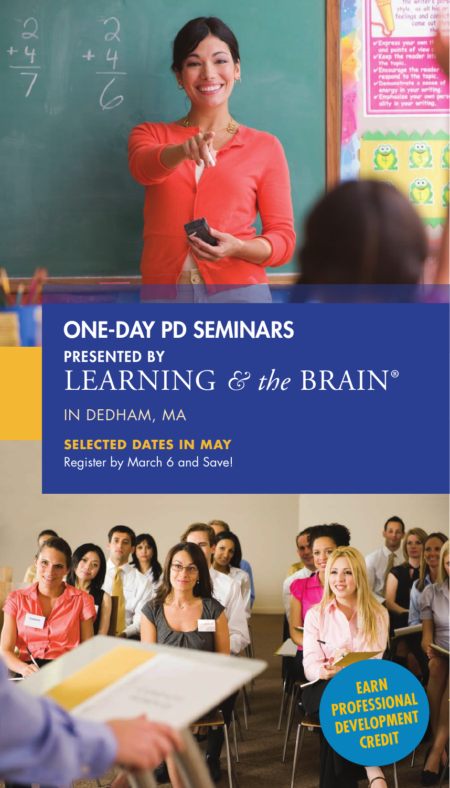# ONE-DAY PD SEMINARS PRESENTED BY LEARNING *& the* BRAIN®

# IN DEDHAM, MA

l<br>O

**SELECTED DATES IN MAY** Register by March 6 and Save!



62

 $\mathfrak{S}$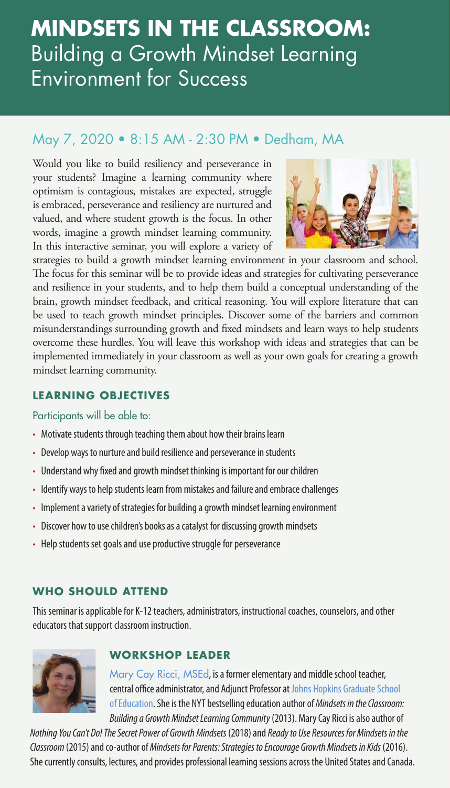# **MINDSETS IN THE CLASSROOM:**  Building a Growth Mindset Learning Environment for Success

# May 7, 2020 • 8:15 AM - 2:30 PM • Dedham, MA

Would you like to build resiliency and perseverance in your students? Imagine a learning community where optimism is contagious, mistakes are expected, struggle is embraced, perseverance and resiliency are nurtured and valued, and where student growth is the focus. In other words, imagine a growth mindset learning community. In this interactive seminar, you will explore a variety of



strategies to build a growth mindset learning environment in your classroom and school. The focus for this seminar will be to provide ideas and strategies for cultivating perseverance and resilience in your students, and to help them build a conceptual understanding of the brain, growth mindset feedback, and critical reasoning. You will explore literature that can be used to teach growth mindset principles. Discover some of the barriers and common misunderstandings surrounding growth and fixed mindsets and learn ways to help students overcome these hurdles. You will leave this workshop with ideas and strategies that can be implemented immediately in your classroom as well as your own goals for creating a growth mindset learning community.

# **LEARNING OBJECTIVES**

# Participants will be able to:

- Motivate students through teaching them about how their brains learn
- Develop ways to nurture and build resilience and perseverance in students
- Understand why fixed and growth mindset thinking is important for our children
- Identify ways to help students learn from mistakes and failure and embrace challenges
- Implement a variety of strategies for building a growth mindset learning environment
- Discover how to use children's books as a catalyst for discussing growth mindsets
- Help students set goals and use productive struggle for perseverance

# **WHO SHOULD ATTEND**

This seminar is applicable for K-12 teachers, administrators, instructional coaches, counselors, and other educators that support classroom instruction.



# **WORKSHOP LEADER**

Mary Cay Ricci, MSEd, is a former elementary and middle school teacher, central office administrator, and Adjunct Professor at Johns Hopkins Graduate School of Education. She is the NYT bestselling education author of *Mindsets in the Classroom: Building a Growth Mindset Learning Community* (2013). Mary Cay Ricci is also author of

*Nothing You Can't Do! The Secret Power of Growth Mindsets* (2018) and *Ready to Use Resources for Mindsets in the Classroom* (2015) and co-author of *Mindsets for Parents: Strategies to Encourage Growth Mindsets in Kids* (2016). She currently consults, lectures, and provides professional learning sessions across the United States and Canada.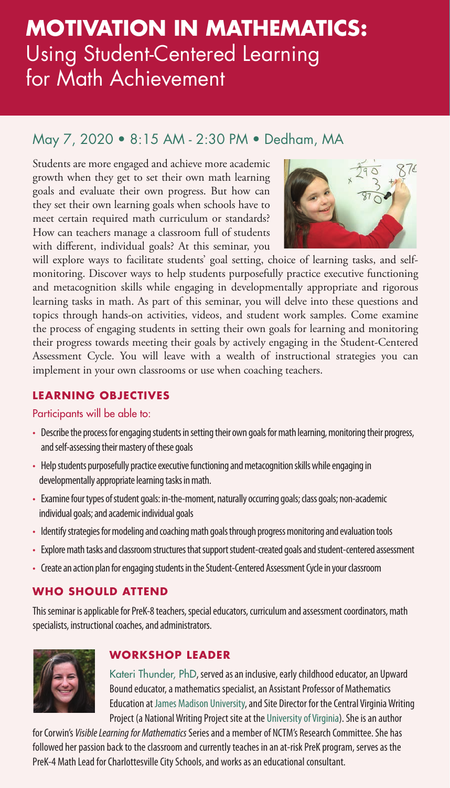# **MOTIVATION IN MATHEMATICS:** Using Student-Centered Learning for Math Achievement

# May 7, 2020 • 8:15 AM - 2:30 PM • Dedham, MA

Students are more engaged and achieve more academic growth when they get to set their own math learning goals and evaluate their own progress. But how can they set their own learning goals when schools have to meet certain required math curriculum or standards? How can teachers manage a classroom full of students with different, individual goals? At this seminar, you



will explore ways to facilitate students' goal setting, choice of learning tasks, and selfmonitoring. Discover ways to help students purposefully practice executive functioning and metacognition skills while engaging in developmentally appropriate and rigorous learning tasks in math. As part of this seminar, you will delve into these questions and topics through hands-on activities, videos, and student work samples. Come examine the process of engaging students in setting their own goals for learning and monitoring their progress towards meeting their goals by actively engaging in the Student-Centered Assessment Cycle. You will leave with a wealth of instructional strategies you can implement in your own classrooms or use when coaching teachers.

# **LEARNING OBJECTIVES**

# Participants will be able to:

- Describe the process for engaging students in setting their own goals for math learning, monitoring their progress, and self-assessing their mastery of these goals
- Help students purposefully practice executive functioning and metacognition skills while engaging in developmentally appropriate learning tasks in math.
- Examine four types of student goals: in-the-moment, naturally occurring goals; class goals; non-academic individual goals; and academic individual goals
- Identify strategies for modeling and coaching math goals through progress monitoring and evaluation tools
- Explore math tasks and classroom structures that support student-created goals and student-centered assessment
- Create an action plan for engaging students in the Student-Centered Assessment Cycle in your classroom

# **WHO SHOULD ATTEND**

This seminar is applicable for PreK-8 teachers, special educators, curriculum and assessment coordinators, math specialists, instructional coaches, and administrators.



# **WORKSHOP LEADER**

Kateri Thunder, PhD, served as an inclusive, early childhood educator, an Upward Bound educator, a mathematics specialist, an Assistant Professor of Mathematics Education at James Madison University, and Site Director for the Central Virginia Writing Project (a National Writing Project site at the University of Virginia). She is an author

for Corwin's *Visible Learning for Mathematics* Series and a member of NCTM's Research Committee. She has followed her passion back to the classroom and currently teaches in an at-risk PreK program, serves as the PreK-4 Math Lead for Charlottesville City Schools, and works as an educational consultant.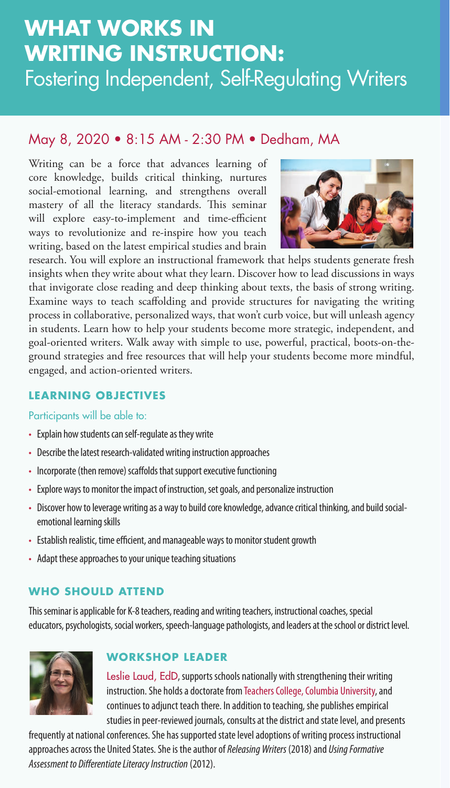# ✓ **,** Fostering Independent, Self-Regulating Writers **WHAT WORKS IN WRITING INSTRUCTION:**

# May 8, 2020 • 8:15 AM - 2:30 PM • Dedham, MA

Writing can be a force that advances learning of core knowledge, builds critical thinking, nurtures social-emotional learning, and strengthens overall mastery of all the literacy standards. This seminar will explore easy-to-implement and time-efficient ways to revolutionize and re-inspire how you teach writing, based on the latest empirical studies and brain



research. You will explore an instructional framework that helps students generate fresh insights when they write about what they learn. Discover how to lead discussions in ways that invigorate close reading and deep thinking about texts, the basis of strong writing. Examine ways to teach scaffolding and provide structures for navigating the writing process in collaborative, personalized ways, that won't curb voice, but will unleash agency in students. Learn how to help your students become more strategic, independent, and goal-oriented writers. Walk away with simple to use, powerful, practical, boots-on-theground strategies and free resources that will help your students become more mindful, engaged, and action-oriented writers.

# **LEARNING OBJECTIVES**

# Participants will be able to:

- Explain how students can self-regulate as they write
- Describe the latest research-validated writing instruction approaches
- Incorporate (then remove) scaffolds that support executive functioning
- Explore ways to monitor the impact of instruction, set goals, and personalize instruction
- Discover how to leverage writing as a way to build core knowledge, advance critical thinking, and build socialemotional learning skills
- Establish realistic, time efficient, and manageable ways to monitor student growth
- Adapt these approaches to your unique teaching situations

# **WHO SHOULD ATTEND**

This seminar is applicable for K-8 teachers, reading and writing teachers, instructional coaches, special educators, psychologists, social workers, speech-language pathologists, and leaders at the school or district level.



# **WORKSHOP LEADER**

Leslie Laud, EdD, supports schools nationally with strengthening their writing instruction. She holds a doctorate from Teachers College, Columbia University, and continues to adjunct teach there. In addition to teaching, she publishes empirical studies in peer-reviewed journals, consults at the district and state level, and presents

frequently at national conferences. She has supported state level adoptions of writing process instructional approaches across the United States. She is the author of *Releasing Writers* (2018) and *Using Formative Assessment to Differentiate Literacy Instruction* (2012).